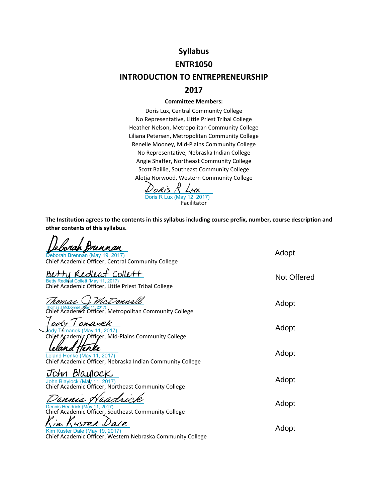# **Syllabus**

#### **ENTR1050**

#### **INTRODUCTION TO ENTREPRENEURSHIP**

#### **2017**

#### **Committee Members:**

Doris Lux, Central Community College No Representative, Little Priest Tribal College Heather Nelson, Metropolitan Community College Liliana Petersen, Metropolitan Community College Renelle Mooney, Mid‐Plains Community College No Representative, Nebraska Indian College Angie Shaffer, Northeast Community College Scott Baillie, Southeast Community College Aletia Norwood, Western Community College

Facilitator [Doris R Lux](https://na1.documents.adobe.com/verifier?tx=CBJCHBCAABAAGN01FKPnmEkd7ySGUh0Oqd6rOgrI2hJB)<br>Doris R Lux (May 12, 2017)

 $D \cap L$ 

**The Institution agrees to the contents in this syllabus including course prefix, number, course description and other contents of this syllabus.**

| <u>borah Brennan</u><br>Deborah Brennan (May 19, 2017)<br>Chief Academic Officer, Central Community College     | Adopt       |
|-----------------------------------------------------------------------------------------------------------------|-------------|
| Redleaf Collett<br>Betty Redleaf Collett (May 11, 2017)<br>Chief Academic Officer, Little Priest Tribal College | Not Offered |
| McDonnell<br>'omas<br>Chief Academic Officer, Metropolitan Community College                                    | Adopt       |
| ody Tomanek<br>ody Tomanek (May 11, 2017)<br>Chief Academic Officer, Mid-Plains Community College               | Adopt       |
| Leland Henke (May 11, 2017)<br>Chief Academic Officer, Nebraska Indian Community College                        | Adopt       |
| John Blaylock<br>John Blaylock (May 11, 2017)<br>Chief Academic Officer, Northeast Community College            | Adopt       |
| Dennis Headrick (May 11, 2017)<br>Chief Academic Officer, Southeast Community College                           | Adopt       |
| 45TER<br>Kim Kuster Dale (May 19, 2017)<br>Chief Academic Officer, Western Nebraska Community College           | Adopt       |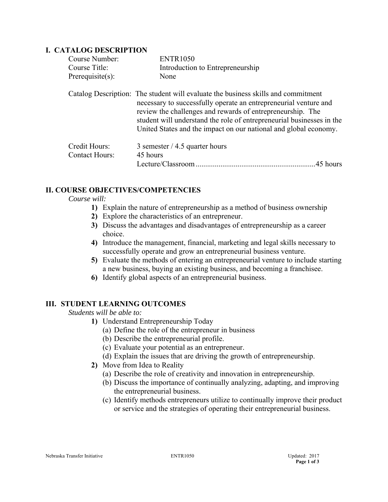#### **I. CATALOG DESCRIPTION**

| Course Number:                         | <b>ENTR1050</b>                                                                                                                                                                                                                                                                                                                                                  |
|----------------------------------------|------------------------------------------------------------------------------------------------------------------------------------------------------------------------------------------------------------------------------------------------------------------------------------------------------------------------------------------------------------------|
| Course Title:                          | Introduction to Entrepreneurship                                                                                                                                                                                                                                                                                                                                 |
| Prerequisite $(s)$ :                   | None                                                                                                                                                                                                                                                                                                                                                             |
|                                        | Catalog Description: The student will evaluate the business skills and commitment<br>necessary to successfully operate an entrepreneurial venture and<br>review the challenges and rewards of entrepreneurship. The<br>student will understand the role of entrepreneurial businesses in the<br>United States and the impact on our national and global economy. |
| Credit Hours:<br><b>Contact Hours:</b> | 3 semester $/$ 4.5 quarter hours<br>45 hours<br>Lecture/Classroom<br>.45 hours                                                                                                                                                                                                                                                                                   |

## **II. COURSE OBJECTIVES/COMPETENCIES**

#### *Course will:*

- **1)** Explain the nature of entrepreneurship as a method of business ownership
- **2)** Explore the characteristics of an entrepreneur.
- **3)** Discuss the advantages and disadvantages of entrepreneurship as a career choice.
- **4)** Introduce the management, financial, marketing and legal skills necessary to successfully operate and grow an entrepreneurial business venture.
- **5)** Evaluate the methods of entering an entrepreneurial venture to include starting a new business, buying an existing business, and becoming a franchisee.
- **6)** Identify global aspects of an entrepreneurial business.

## **III. STUDENT LEARNING OUTCOMES**

*Students will be able to:* 

- **1)** Understand Entrepreneurship Today
	- (a) Define the role of the entrepreneur in business
	- (b) Describe the entrepreneurial profile.
	- (c) Evaluate your potential as an entrepreneur.
	- (d) Explain the issues that are driving the growth of entrepreneurship.
- **2)** Move from Idea to Reality
	- (a) Describe the role of creativity and innovation in entrepreneurship.
	- (b) Discuss the importance of continually analyzing, adapting, and improving the entrepreneurial business.
	- (c) Identify methods entrepreneurs utilize to continually improve their product or service and the strategies of operating their entrepreneurial business.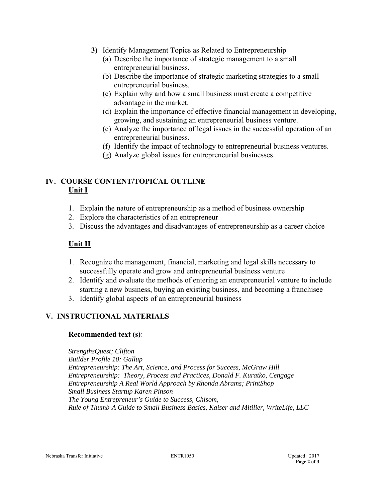- **3)** Identify Management Topics as Related to Entrepreneurship
	- (a) Describe the importance of strategic management to a small entrepreneurial business.
	- (b) Describe the importance of strategic marketing strategies to a small entrepreneurial business.
	- (c) Explain why and how a small business must create a competitive advantage in the market.
	- (d) Explain the importance of effective financial management in developing, growing, and sustaining an entrepreneurial business venture.
	- (e) Analyze the importance of legal issues in the successful operation of an entrepreneurial business.
	- (f) Identify the impact of technology to entrepreneurial business ventures.
	- (g) Analyze global issues for entrepreneurial businesses.

# **IV. COURSE CONTENT/TOPICAL OUTLINE Unit I**

- 1. Explain the nature of entrepreneurship as a method of business ownership
- 2. Explore the characteristics of an entrepreneur
- 3. Discuss the advantages and disadvantages of entrepreneurship as a career choice

# **Unit II**

- 1. Recognize the management, financial, marketing and legal skills necessary to successfully operate and grow and entrepreneurial business venture
- 2. Identify and evaluate the methods of entering an entrepreneurial venture to include starting a new business, buying an existing business, and becoming a franchisee
- 3. Identify global aspects of an entrepreneurial business

## **V. INSTRUCTIONAL MATERIALS**

## **Recommended text (s)***:*

*StrengthsQuest; Clifton Builder Profile 10: Gallup Entrepreneurship: The Art, Science, and Process for Success, McGraw Hill Entrepreneurship: Theory, Process and Practices, Donald F. Kuratko, Cengage Entrepreneurship A Real World Approach by Rhonda Abrams; PrintShop Small Business Startup Karen Pinson The Young Entrepreneur's Guide to Success, Chisom, Rule of Thumb-A Guide to Small Business Basics, Kaiser and Mitilier, WriteLife, LLC*